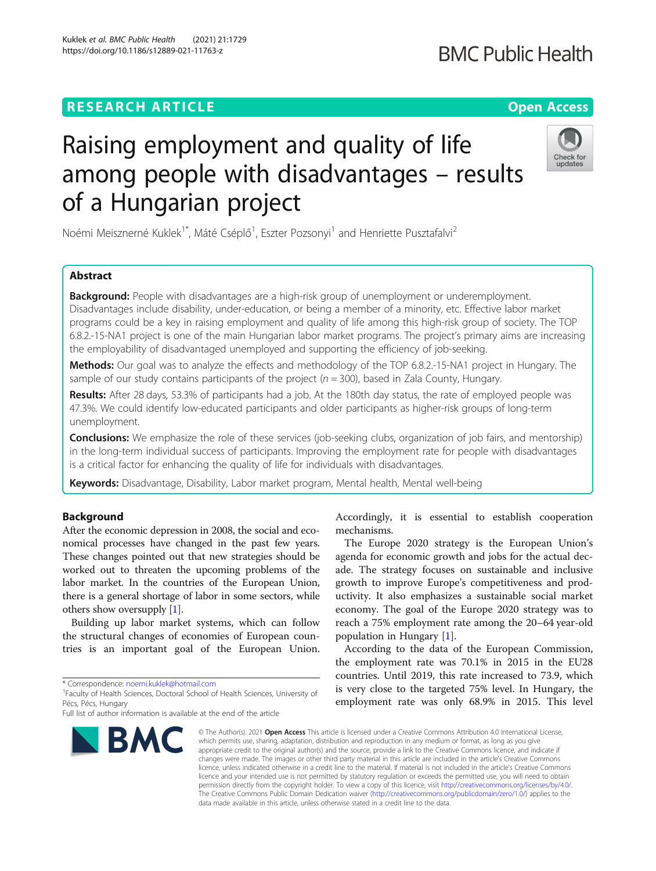# **RESEARCH ARTICLE Example 2014 12:30 The Open Access**

# Raising employment and quality of life among people with disadvantages – results of a Hungarian project

Noémi Meisznerné Kuklek<sup>1\*</sup>, Máté Cséplő<sup>1</sup>, Eszter Pozsonyi<sup>1</sup> and Henriette Pusztafalvi<sup>2</sup>

# Abstract

Background: People with disadvantages are a high-risk group of unemployment or underemployment. Disadvantages include disability, under-education, or being a member of a minority, etc. Effective labor market programs could be a key in raising employment and quality of life among this high-risk group of society. The TOP 6.8.2.-15-NA1 project is one of the main Hungarian labor market programs. The project's primary aims are increasing the employability of disadvantaged unemployed and supporting the efficiency of job-seeking.

Methods: Our goal was to analyze the effects and methodology of the TOP 6.8.2.-15-NA1 project in Hungary. The sample of our study contains participants of the project ( $n = 300$ ), based in Zala County, Hungary.

Results: After 28 days, 53.3% of participants had a job. At the 180th day status, the rate of employed people was 47.3%. We could identify low-educated participants and older participants as higher-risk groups of long-term unemployment.

**Conclusions:** We emphasize the role of these services (job-seeking clubs, organization of job fairs, and mentorship) in the long-term individual success of participants. Improving the employment rate for people with disadvantages is a critical factor for enhancing the quality of life for individuals with disadvantages.

Keywords: Disadvantage, Disability, Labor market program, Mental health, Mental well-being

# Background

After the economic depression in 2008, the social and economical processes have changed in the past few years. These changes pointed out that new strategies should be worked out to threaten the upcoming problems of the labor market. In the countries of the European Union, there is a general shortage of labor in some sectors, while others show oversupply [[1](#page-5-0)].

Building up labor market systems, which can follow the structural changes of economies of European countries is an important goal of the European Union.

\* Correspondence: [noemi.kuklek@hotmail.com](mailto:noemi.kuklek@hotmail.com) <sup>1</sup>

**BMC** 

<sup>1</sup>Faculty of Health Sciences, Doctoral School of Health Sciences, University of Pécs, Pécs, Hungary

Accordingly, it is essential to establish cooperation mechanisms.

The Europe 2020 strategy is the European Union's agenda for economic growth and jobs for the actual decade. The strategy focuses on sustainable and inclusive growth to improve Europe's competitiveness and productivity. It also emphasizes a sustainable social market economy. The goal of the Europe 2020 strategy was to reach a 75% employment rate among the 20–64 year-old population in Hungary [\[1](#page-5-0)].

According to the data of the European Commission, the employment rate was 70.1% in 2015 in the EU28 countries. Until 2019, this rate increased to 73.9, which is very close to the targeted 75% level. In Hungary, the employment rate was only 68.9% in 2015. This level

© The Author(s), 2021 **Open Access** This article is licensed under a Creative Commons Attribution 4.0 International License, which permits use, sharing, adaptation, distribution and reproduction in any medium or format, as long as you give appropriate credit to the original author(s) and the source, provide a link to the Creative Commons licence, and indicate if changes were made. The images or other third party material in this article are included in the article's Creative Commons licence, unless indicated otherwise in a credit line to the material. If material is not included in the article's Creative Commons licence and your intended use is not permitted by statutory regulation or exceeds the permitted use, you will need to obtain permission directly from the copyright holder. To view a copy of this licence, visit [http://creativecommons.org/licenses/by/4.0/.](http://creativecommons.org/licenses/by/4.0/) The Creative Commons Public Domain Dedication waiver [\(http://creativecommons.org/publicdomain/zero/1.0/](http://creativecommons.org/publicdomain/zero/1.0/)) applies to the data made available in this article, unless otherwise stated in a credit line to the data.

Kuklek et al. BMC Public Health (2021) 21:1729 https://doi.org/10.1186/s12889-021-11763-z







Full list of author information is available at the end of the article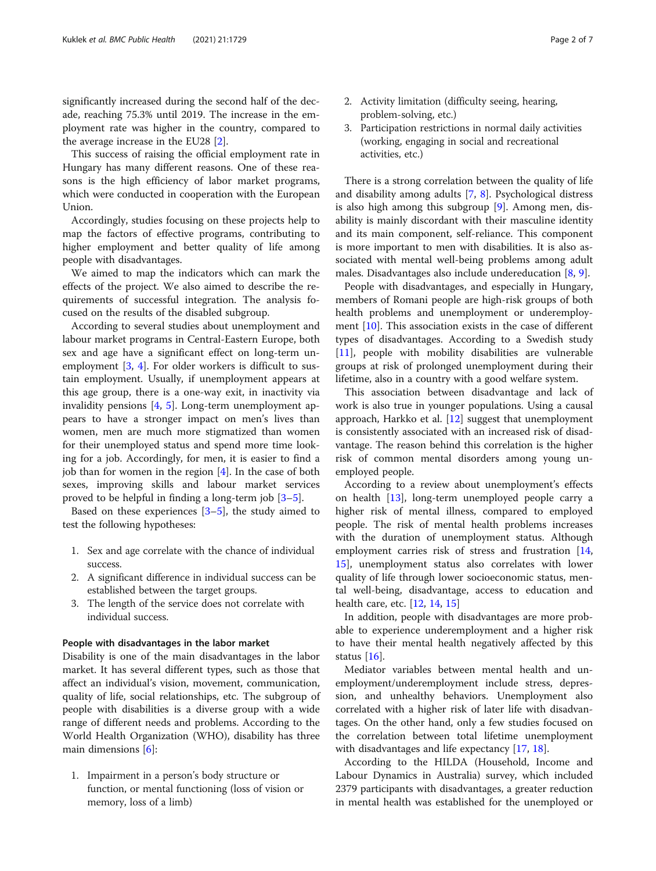significantly increased during the second half of the decade, reaching 75.3% until 2019. The increase in the employment rate was higher in the country, compared to the average increase in the EU28 [\[2](#page-5-0)].

This success of raising the official employment rate in Hungary has many different reasons. One of these reasons is the high efficiency of labor market programs, which were conducted in cooperation with the European Union.

Accordingly, studies focusing on these projects help to map the factors of effective programs, contributing to higher employment and better quality of life among people with disadvantages.

We aimed to map the indicators which can mark the effects of the project. We also aimed to describe the requirements of successful integration. The analysis focused on the results of the disabled subgroup.

According to several studies about unemployment and labour market programs in Central-Eastern Europe, both sex and age have a significant effect on long-term unemployment [[3](#page-5-0), [4](#page-5-0)]. For older workers is difficult to sustain employment. Usually, if unemployment appears at this age group, there is a one-way exit, in inactivity via invalidity pensions [\[4](#page-5-0), [5\]](#page-5-0). Long-term unemployment appears to have a stronger impact on men's lives than women, men are much more stigmatized than women for their unemployed status and spend more time looking for a job. Accordingly, for men, it is easier to find a job than for women in the region  $[4]$  $[4]$ . In the case of both sexes, improving skills and labour market services proved to be helpful in finding a long-term job [\[3](#page-5-0)–[5\]](#page-5-0).

Based on these experiences  $[3-5]$  $[3-5]$  $[3-5]$ , the study aimed to test the following hypotheses:

- 1. Sex and age correlate with the chance of individual success.
- 2. A significant difference in individual success can be established between the target groups.
- 3. The length of the service does not correlate with individual success.

# People with disadvantages in the labor market

Disability is one of the main disadvantages in the labor market. It has several different types, such as those that affect an individual's vision, movement, communication, quality of life, social relationships, etc. The subgroup of people with disabilities is a diverse group with a wide range of different needs and problems. According to the World Health Organization (WHO), disability has three main dimensions [[6\]](#page-6-0):

1. Impairment in a person's body structure or function, or mental functioning (loss of vision or memory, loss of a limb)

- 2. Activity limitation (difficulty seeing, hearing, problem-solving, etc.)
- 3. Participation restrictions in normal daily activities (working, engaging in social and recreational activities, etc.)

There is a strong correlation between the quality of life and disability among adults [[7](#page-6-0), [8](#page-6-0)]. Psychological distress is also high among this subgroup [\[9](#page-6-0)]. Among men, disability is mainly discordant with their masculine identity and its main component, self-reliance. This component is more important to men with disabilities. It is also associated with mental well-being problems among adult males. Disadvantages also include undereducation [[8,](#page-6-0) [9\]](#page-6-0).

People with disadvantages, and especially in Hungary, members of Romani people are high-risk groups of both health problems and unemployment or underemployment [\[10](#page-6-0)]. This association exists in the case of different types of disadvantages. According to a Swedish study [[11\]](#page-6-0), people with mobility disabilities are vulnerable groups at risk of prolonged unemployment during their lifetime, also in a country with a good welfare system.

This association between disadvantage and lack of work is also true in younger populations. Using a causal approach, Harkko et al. [\[12\]](#page-6-0) suggest that unemployment is consistently associated with an increased risk of disadvantage. The reason behind this correlation is the higher risk of common mental disorders among young unemployed people.

According to a review about unemployment's effects on health [\[13\]](#page-6-0), long-term unemployed people carry a higher risk of mental illness, compared to employed people. The risk of mental health problems increases with the duration of unemployment status. Although employment carries risk of stress and frustration [[14](#page-6-0), [15\]](#page-6-0), unemployment status also correlates with lower quality of life through lower socioeconomic status, mental well-being, disadvantage, access to education and health care, etc. [\[12,](#page-6-0) [14,](#page-6-0) [15\]](#page-6-0)

In addition, people with disadvantages are more probable to experience underemployment and a higher risk to have their mental health negatively affected by this status [\[16](#page-6-0)].

Mediator variables between mental health and unemployment/underemployment include stress, depression, and unhealthy behaviors. Unemployment also correlated with a higher risk of later life with disadvantages. On the other hand, only a few studies focused on the correlation between total lifetime unemployment with disadvantages and life expectancy [[17,](#page-6-0) [18\]](#page-6-0).

According to the HILDA (Household, Income and Labour Dynamics in Australia) survey, which included 2379 participants with disadvantages, a greater reduction in mental health was established for the unemployed or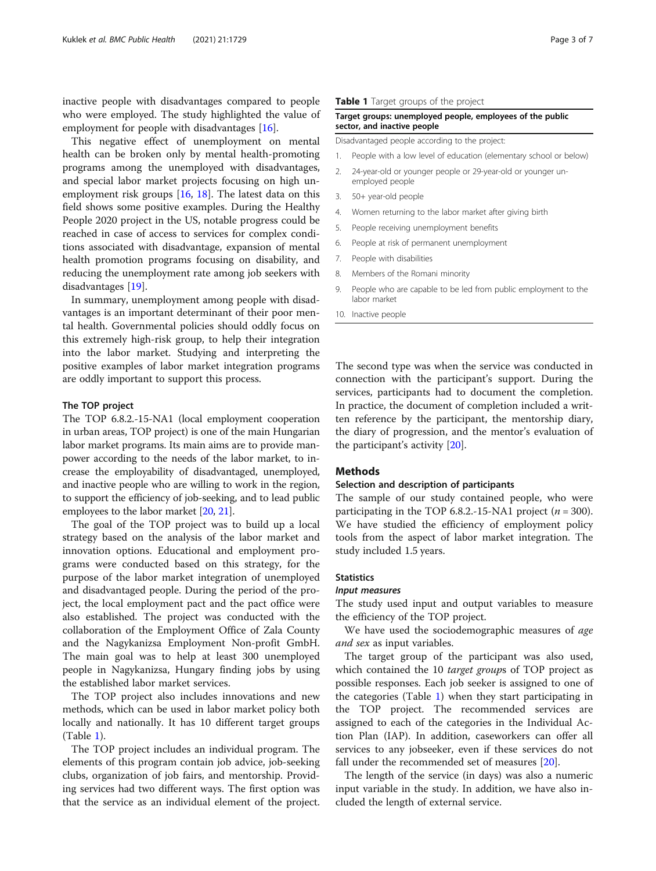inactive people with disadvantages compared to people who were employed. The study highlighted the value of employment for people with disadvantages [[16\]](#page-6-0).

This negative effect of unemployment on mental health can be broken only by mental health-promoting programs among the unemployed with disadvantages, and special labor market projects focusing on high unemployment risk groups [[16](#page-6-0), [18\]](#page-6-0). The latest data on this field shows some positive examples. During the Healthy People 2020 project in the US, notable progress could be reached in case of access to services for complex conditions associated with disadvantage, expansion of mental health promotion programs focusing on disability, and reducing the unemployment rate among job seekers with disadvantages [[19\]](#page-6-0).

In summary, unemployment among people with disadvantages is an important determinant of their poor mental health. Governmental policies should oddly focus on this extremely high-risk group, to help their integration into the labor market. Studying and interpreting the positive examples of labor market integration programs are oddly important to support this process.

## The TOP project

The TOP 6.8.2.-15-NA1 (local employment cooperation in urban areas, TOP project) is one of the main Hungarian labor market programs. Its main aims are to provide manpower according to the needs of the labor market, to increase the employability of disadvantaged, unemployed, and inactive people who are willing to work in the region, to support the efficiency of job-seeking, and to lead public employees to the labor market [\[20,](#page-6-0) [21\]](#page-6-0).

The goal of the TOP project was to build up a local strategy based on the analysis of the labor market and innovation options. Educational and employment programs were conducted based on this strategy, for the purpose of the labor market integration of unemployed and disadvantaged people. During the period of the project, the local employment pact and the pact office were also established. The project was conducted with the collaboration of the Employment Office of Zala County and the Nagykanizsa Employment Non-profit GmbH. The main goal was to help at least 300 unemployed people in Nagykanizsa, Hungary finding jobs by using the established labor market services.

The TOP project also includes innovations and new methods, which can be used in labor market policy both locally and nationally. It has 10 different target groups (Table 1).

The TOP project includes an individual program. The elements of this program contain job advice, job-seeking clubs, organization of job fairs, and mentorship. Providing services had two different ways. The first option was that the service as an individual element of the project.

# Table 1 Target groups of the project

# Target groups: unemployed people, employees of the public sector, and inactive people

Disadvantaged people according to the project:

- 1. People with a low level of education (elementary school or below)
- 2. 24-year-old or younger people or 29-year-old or younger unemployed people
- 3. 50+ year-old people
- 4. Women returning to the labor market after giving birth
- 5. People receiving unemployment benefits
- 6. People at risk of permanent unemployment
- 7. People with disabilities
- 8. Members of the Romani minority
- 9. People who are capable to be led from public employment to the labor market
- 10. Inactive people

The second type was when the service was conducted in connection with the participant's support. During the services, participants had to document the completion. In practice, the document of completion included a written reference by the participant, the mentorship diary, the diary of progression, and the mentor's evaluation of the participant's activity [[20](#page-6-0)].

# **Methods**

## Selection and description of participants

The sample of our study contained people, who were participating in the TOP 6.8.2.-15-NA1 project ( $n = 300$ ). We have studied the efficiency of employment policy tools from the aspect of labor market integration. The study included 1.5 years.

# **Statistics**

# Input measures

The study used input and output variables to measure the efficiency of the TOP project.

We have used the sociodemographic measures of age and sex as input variables.

The target group of the participant was also used, which contained the 10 *target groups* of TOP project as possible responses. Each job seeker is assigned to one of the categories (Table 1) when they start participating in the TOP project. The recommended services are assigned to each of the categories in the Individual Action Plan (IAP). In addition, caseworkers can offer all services to any jobseeker, even if these services do not fall under the recommended set of measures [[20](#page-6-0)].

The length of the service (in days) was also a numeric input variable in the study. In addition, we have also included the length of external service.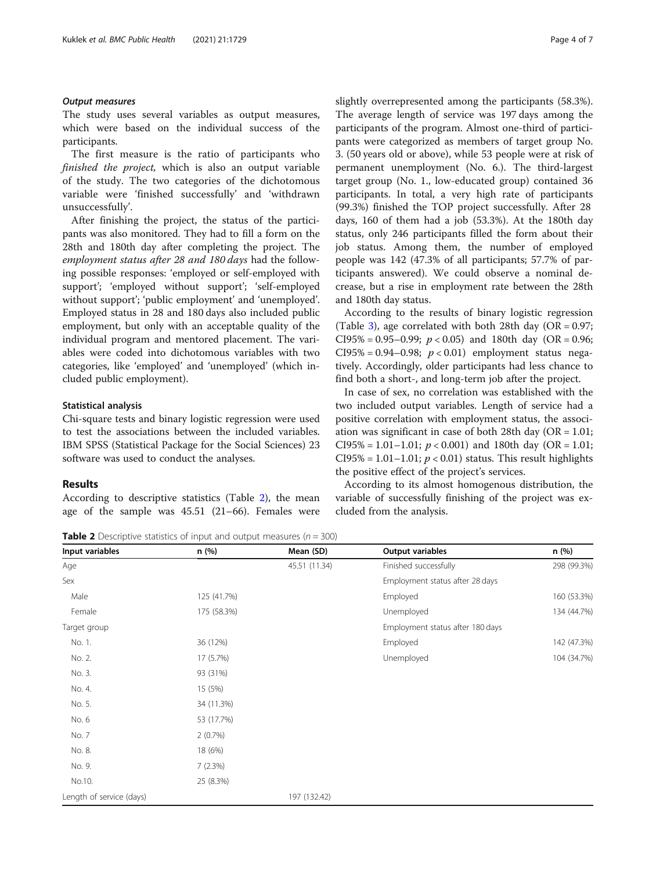# Output measures

The study uses several variables as output measures, which were based on the individual success of the participants.

The first measure is the ratio of participants who finished the project, which is also an output variable of the study. The two categories of the dichotomous variable were 'finished successfully' and 'withdrawn unsuccessfully'.

After finishing the project, the status of the participants was also monitored. They had to fill a form on the 28th and 180th day after completing the project. The employment status after 28 and 180 days had the following possible responses: 'employed or self-employed with support'; 'employed without support'; 'self-employed without support'; 'public employment' and 'unemployed'. Employed status in 28 and 180 days also included public employment, but only with an acceptable quality of the individual program and mentored placement. The variables were coded into dichotomous variables with two categories, like 'employed' and 'unemployed' (which included public employment).

## Statistical analysis

Chi-square tests and binary logistic regression were used to test the associations between the included variables. IBM SPSS (Statistical Package for the Social Sciences) 23 software was used to conduct the analyses.

# Results

According to descriptive statistics (Table 2), the mean age of the sample was 45.51 (21–66). Females were

slightly overrepresented among the participants (58.3%). The average length of service was 197 days among the participants of the program. Almost one-third of participants were categorized as members of target group No. 3. (50 years old or above), while 53 people were at risk of permanent unemployment (No. 6.). The third-largest target group (No. 1., low-educated group) contained 36 participants. In total, a very high rate of participants (99.3%) finished the TOP project successfully. After 28 days, 160 of them had a job (53.3%). At the 180th day status, only 246 participants filled the form about their job status. Among them, the number of employed people was 142 (47.3% of all participants; 57.7% of participants answered). We could observe a nominal decrease, but a rise in employment rate between the 28th and 180th day status.

According to the results of binary logistic regression (Table [3](#page-4-0)), age correlated with both 28th day ( $OR = 0.97$ ; CI95% = 0.95–0.99;  $p < 0.05$ ) and 180th day (OR = 0.96; CI95% = 0.94-0.98;  $p < 0.01$ ) employment status negatively. Accordingly, older participants had less chance to find both a short-, and long-term job after the project.

In case of sex, no correlation was established with the two included output variables. Length of service had a positive correlation with employment status, the association was significant in case of both 28th day ( $OR = 1.01$ ; CI95% = 1.01-1.01;  $p < 0.001$ ) and 180th day (OR = 1.01;  $CI95\% = 1.01 - 1.01$ ;  $p < 0.01$ ) status. This result highlights the positive effect of the project's services.

According to its almost homogenous distribution, the variable of successfully finishing of the project was excluded from the analysis.

**Table 2** Descriptive statistics of input and output measures ( $n = 300$ )

| Input variables          | n (%)       | Mean (SD)     | Output variables                 | n(%)        |
|--------------------------|-------------|---------------|----------------------------------|-------------|
| Age                      |             | 45.51 (11.34) | Finished successfully            | 298 (99.3%) |
| Sex                      |             |               | Employment status after 28 days  |             |
| Male                     | 125 (41.7%) |               | Employed                         | 160 (53.3%) |
| Female                   | 175 (58.3%) |               | Unemployed                       | 134 (44.7%) |
| Target group             |             |               | Employment status after 180 days |             |
| No. 1.                   | 36 (12%)    |               | Employed                         | 142 (47.3%) |
| No. 2.                   | 17 (5.7%)   |               | Unemployed                       | 104 (34.7%) |
| No. 3.                   | 93 (31%)    |               |                                  |             |
| No. 4.                   | 15 (5%)     |               |                                  |             |
| No. 5.                   | 34 (11.3%)  |               |                                  |             |
| No. 6                    | 53 (17.7%)  |               |                                  |             |
| No. 7                    | 2(0.7%)     |               |                                  |             |
| No. 8.                   | 18 (6%)     |               |                                  |             |
| No. 9.                   | 7(2.3%)     |               |                                  |             |
| No.10.                   | 25 (8.3%)   |               |                                  |             |
| Length of service (days) |             | 197 (132.42)  |                                  |             |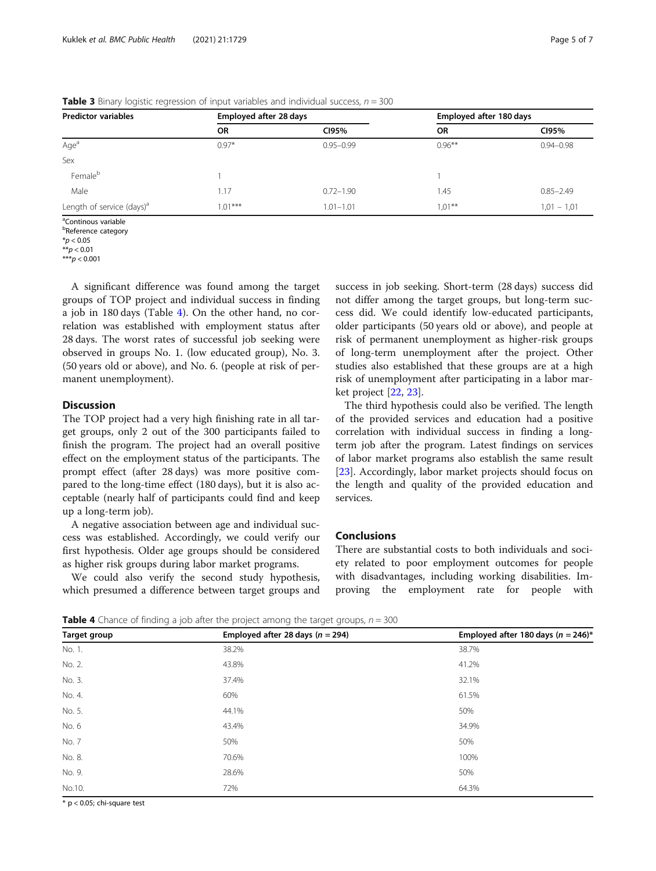| <b>Predictor variables</b>            | Employed after 28 days |               | Employed after 180 days |               |
|---------------------------------------|------------------------|---------------|-------------------------|---------------|
|                                       | <b>OR</b>              | CI95%         | <b>OR</b>               | CI95%         |
| Age <sup>a</sup>                      | $0.97*$                | $0.95 - 0.99$ | $0.96***$               | $0.94 - 0.98$ |
| Sex                                   |                        |               |                         |               |
| Femaleb                               |                        |               |                         |               |
| Male                                  | 1.17                   | $0.72 - 1.90$ | 1.45                    | $0.85 - 2.49$ |
| Length of service (days) <sup>a</sup> | $1.01***$              | $1.01 - 1.01$ | $1.01***$               | $1,01 - 1,01$ |

<span id="page-4-0"></span>**Table 3** Binary logistic regression of input variables and individual success,  $n = 300$ 

<sup>a</sup>Continous variable

<sup>b</sup>Reference category

 $*$ *p* < 0.05

 $A^*p < 0.01$ 

\*\*\* $p < 0.001$ 

A significant difference was found among the target groups of TOP project and individual success in finding a job in 180 days (Table 4). On the other hand, no correlation was established with employment status after 28 days. The worst rates of successful job seeking were observed in groups No. 1. (low educated group), No. 3. (50 years old or above), and No. 6. (people at risk of permanent unemployment).

# **Discussion**

The TOP project had a very high finishing rate in all target groups, only 2 out of the 300 participants failed to finish the program. The project had an overall positive effect on the employment status of the participants. The prompt effect (after 28 days) was more positive compared to the long-time effect (180 days), but it is also acceptable (nearly half of participants could find and keep up a long-term job).

A negative association between age and individual success was established. Accordingly, we could verify our first hypothesis. Older age groups should be considered as higher risk groups during labor market programs.

We could also verify the second study hypothesis, which presumed a difference between target groups and

success in job seeking. Short-term (28 days) success did not differ among the target groups, but long-term success did. We could identify low-educated participants, older participants (50 years old or above), and people at risk of permanent unemployment as higher-risk groups of long-term unemployment after the project. Other studies also established that these groups are at a high risk of unemployment after participating in a labor market project [[22](#page-6-0), [23](#page-6-0)].

The third hypothesis could also be verified. The length of the provided services and education had a positive correlation with individual success in finding a longterm job after the program. Latest findings on services of labor market programs also establish the same result [[23\]](#page-6-0). Accordingly, labor market projects should focus on the length and quality of the provided education and services.

# Conclusions

There are substantial costs to both individuals and society related to poor employment outcomes for people with disadvantages, including working disabilities. Improving the employment rate for people with

**Table 4** Chance of finding a job after the project among the target groups,  $n = 300$ 

| Target group | Employed after 28 days $(n = 294)$ | Employed after 180 days ( $n = 246$ )* |  |
|--------------|------------------------------------|----------------------------------------|--|
| No. 1.       | 38.2%                              | 38.7%                                  |  |
| No. 2.       | 43.8%                              | 41.2%                                  |  |
| No. 3.       | 37.4%                              | 32.1%                                  |  |
| No. 4.       | 60%                                | 61.5%                                  |  |
| No. 5.       | 44.1%                              | 50%                                    |  |
| No. 6        | 43.4%                              | 34.9%                                  |  |
| No. 7        | 50%                                | 50%                                    |  |
| No. 8.       | 70.6%                              | 100%                                   |  |
| No. 9.       | 28.6%                              | 50%                                    |  |
| No.10.       | 72%                                | 64.3%                                  |  |

\* p < 0.05; chi-square test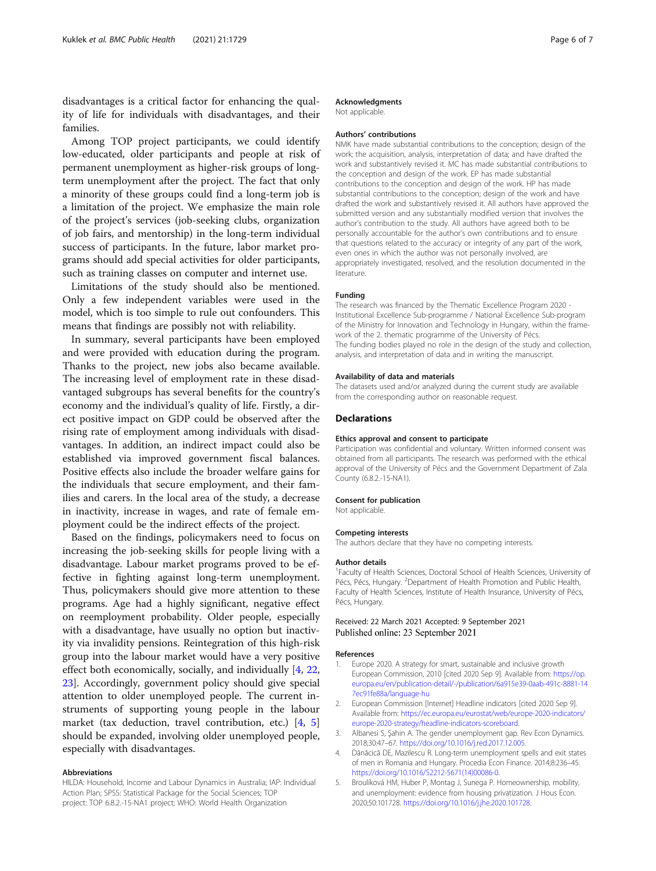<span id="page-5-0"></span>disadvantages is a critical factor for enhancing the quality of life for individuals with disadvantages, and their families.

Among TOP project participants, we could identify low-educated, older participants and people at risk of permanent unemployment as higher-risk groups of longterm unemployment after the project. The fact that only a minority of these groups could find a long-term job is a limitation of the project. We emphasize the main role of the project's services (job-seeking clubs, organization of job fairs, and mentorship) in the long-term individual success of participants. In the future, labor market programs should add special activities for older participants, such as training classes on computer and internet use.

Limitations of the study should also be mentioned. Only a few independent variables were used in the model, which is too simple to rule out confounders. This means that findings are possibly not with reliability.

In summary, several participants have been employed and were provided with education during the program. Thanks to the project, new jobs also became available. The increasing level of employment rate in these disadvantaged subgroups has several benefits for the country's economy and the individual's quality of life. Firstly, a direct positive impact on GDP could be observed after the rising rate of employment among individuals with disadvantages. In addition, an indirect impact could also be established via improved government fiscal balances. Positive effects also include the broader welfare gains for the individuals that secure employment, and their families and carers. In the local area of the study, a decrease in inactivity, increase in wages, and rate of female employment could be the indirect effects of the project.

Based on the findings, policymakers need to focus on increasing the job-seeking skills for people living with a disadvantage. Labour market programs proved to be effective in fighting against long-term unemployment. Thus, policymakers should give more attention to these programs. Age had a highly significant, negative effect on reemployment probability. Older people, especially with a disadvantage, have usually no option but inactivity via invalidity pensions. Reintegration of this high-risk group into the labour market would have a very positive effect both economically, socially, and individually [4, [22](#page-6-0), [23\]](#page-6-0). Accordingly, government policy should give special attention to older unemployed people. The current instruments of supporting young people in the labour market (tax deduction, travel contribution, etc.) [4, 5] should be expanded, involving older unemployed people, especially with disadvantages.

#### Abbreviations

HILDA: Household, Income and Labour Dynamics in Australia; IAP: Individual Action Plan; SPSS: Statistical Package for the Social Sciences; TOP project: TOP 6.8.2.-15-NA1 project; WHO: World Health Organization

# Acknowledgments

Not applicable.

#### Authors' contributions

NMK have made substantial contributions to the conception; design of the work; the acquisition, analysis, interpretation of data; and have drafted the work and substantively revised it. MC has made substantial contributions to the conception and design of the work. EP has made substantial contributions to the conception and design of the work. HP has made substantial contributions to the conception; design of the work and have drafted the work and substantively revised it. All authors have approved the submitted version and any substantially modified version that involves the author's contribution to the study. All authors have agreed both to be personally accountable for the author's own contributions and to ensure that questions related to the accuracy or integrity of any part of the work, even ones in which the author was not personally involved, are appropriately investigated, resolved, and the resolution documented in the literature.

## Funding

The research was financed by the Thematic Excellence Program 2020 - Institutional Excellence Sub-programme / National Excellence Sub-program of the Ministry for Innovation and Technology in Hungary, within the framework of the 2. thematic programme of the University of Pécs. The funding bodies played no role in the design of the study and collection, analysis, and interpretation of data and in writing the manuscript.

#### Availability of data and materials

The datasets used and/or analyzed during the current study are available from the corresponding author on reasonable request.

#### Declarations

## Ethics approval and consent to participate

Participation was confidential and voluntary. Written informed consent was obtained from all participants. The research was performed with the ethical approval of the University of Pécs and the Government Department of Zala County (6.8.2.-15-NA1).

#### Consent for publication

Not applicable.

### Competing interests

The authors declare that they have no competing interests.

#### Author details

<sup>1</sup> Faculty of Health Sciences, Doctoral School of Health Sciences, University of Pécs, Pécs, Hungary. <sup>2</sup>Department of Health Promotion and Public Health, Faculty of Health Sciences, Institute of Health Insurance, University of Pécs, Pécs, Hungary.

## Received: 22 March 2021 Accepted: 9 September 2021 Published online: 23 September 2021

#### References

- 1. Europe 2020. A strategy for smart, sustainable and inclusive growth European Commission, 2010 [cited 2020 Sep 9]. Available from: [https://op.](https://op.europa.eu/en/publication-detail/-/publication/6a915e39-0aab-491c-8881-147ec91fe88a/language-hu) [europa.eu/en/publication-detail/-/publication/6a915e39-0aab-491c-8881-14](https://op.europa.eu/en/publication-detail/-/publication/6a915e39-0aab-491c-8881-147ec91fe88a/language-hu) [7ec91fe88a/language-hu](https://op.europa.eu/en/publication-detail/-/publication/6a915e39-0aab-491c-8881-147ec91fe88a/language-hu)
- 2. European Commission [Internet] Headline indicators [cited 2020 Sep 9]. Available from: [https://ec.europa.eu/eurostat/web/europe-2020-indicators/](https://ec.europa.eu/eurostat/web/europe-2020-indicators/europe-2020-strategy/headline-indicators-scoreboard) [europe-2020-strategy/headline-indicators-scoreboard.](https://ec.europa.eu/eurostat/web/europe-2020-indicators/europe-2020-strategy/headline-indicators-scoreboard)
- 3. Albanesi S, Şahin A. The gender unemployment gap. Rev Econ Dynamics. 2018;30:47–67. [https://doi.org/10.1016/j.red.2017.12.005.](https://doi.org/10.1016/j.red.2017.12.005)
- 4. Dănăcică DE, Mazilescu R. Long-term unemployment spells and exit states of men in Romania and Hungary. Procedia Econ Finance. 2014;8:236–45. [https://doi.org/10.1016/S2212-5671\(14\)00086-0.](https://doi.org/10.1016/S2212-5671(14)00086-0)
- 5. Broulíková HM, Huber P, Montag J, Sunega P. Homeownership, mobility, and unemployment: evidence from housing privatization. J Hous Econ. 2020;50:101728. <https://doi.org/10.1016/j.jhe.2020.101728>.